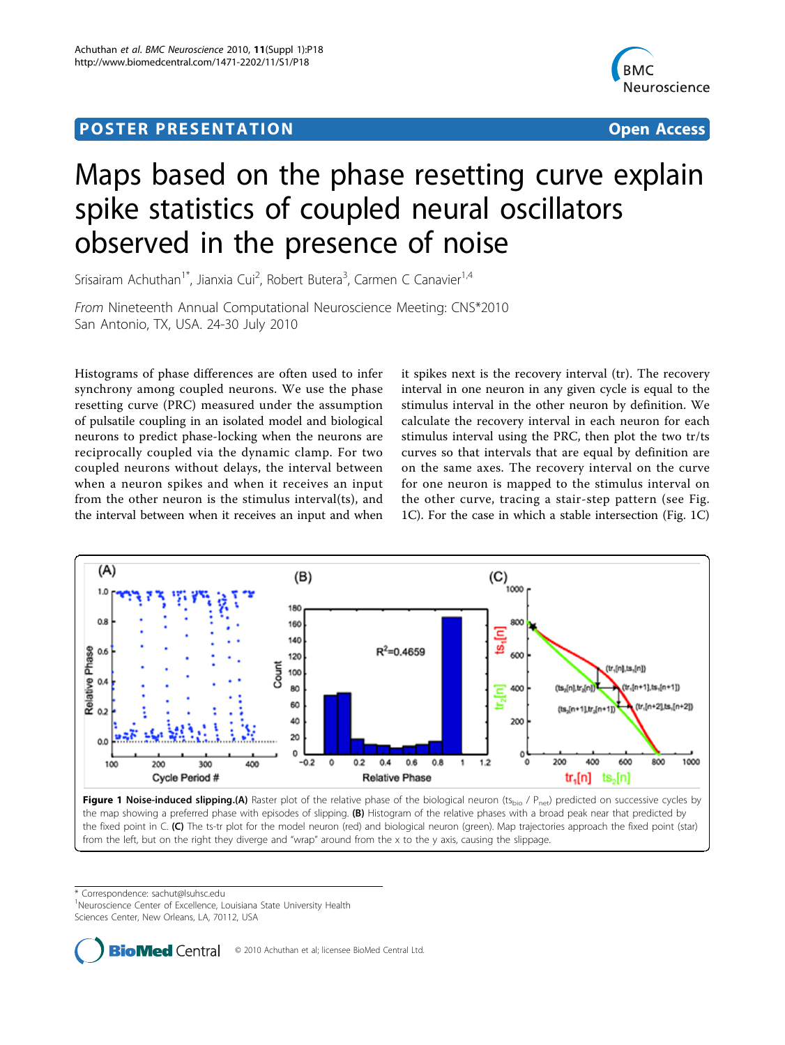## <span id="page-0-0"></span>Post Experimental Police in the St English Police in the St English Police in the St English Police in the St<br>Police in the St English Police in the St English Police in the St English Police in the St English Police in



## Maps based on the phase resetting curve explain spike statistics of coupled neural oscillators observed in the presence of noise

Srisairam Achuthan<sup>1\*</sup>, Jianxia Cui<sup>2</sup>, Robert Butera<sup>3</sup>, Carmen C Canavier<sup>1,4</sup>

From Nineteenth Annual Computational Neuroscience Meeting: CNS\*2010 San Antonio, TX, USA. 24-30 July 2010

Histograms of phase differences are often used to infer synchrony among coupled neurons. We use the phase resetting curve (PRC) measured under the assumption of pulsatile coupling in an isolated model and biological neurons to predict phase-locking when the neurons are reciprocally coupled via the dynamic clamp. For two coupled neurons without delays, the interval between when a neuron spikes and when it receives an input from the other neuron is the stimulus interval(ts), and the interval between when it receives an input and when

it spikes next is the recovery interval (tr). The recovery interval in one neuron in any given cycle is equal to the stimulus interval in the other neuron by definition. We calculate the recovery interval in each neuron for each stimulus interval using the PRC, then plot the two tr/ts curves so that intervals that are equal by definition are on the same axes. The recovery interval on the curve for one neuron is mapped to the stimulus interval on the other curve, tracing a stair-step pattern (see Fig. 1C). For the case in which a stable intersection (Fig. 1C)



Figure 1 Noise-induced slipping.(A) Raster plot of the relative phase of the biological neuron (ts<sub>bio</sub> / P<sub>net</sub>) predicted on successive cycles by the map showing a preferred phase with episodes of slipping. (B) Histogram of the relative phases with a broad peak near that predicted by the fixed point in C. (C) The ts-tr plot for the model neuron (red) and biological neuron (green). Map trajectories approach the fixed point (star) from the left, but on the right they diverge and "wrap" around from the x to the y axis, causing the slippage.

\* Correspondence: [sachut@lsuhsc.edu](mailto:sachut@lsuhsc.edu)

<sup>1</sup>Neuroscience Center of Excellence, Louisiana State University Health

Sciences Center, New Orleans, LA, 70112, USA

**BioMed** Central © 2010 Achuthan et al; licensee BioMed Central Ltd.